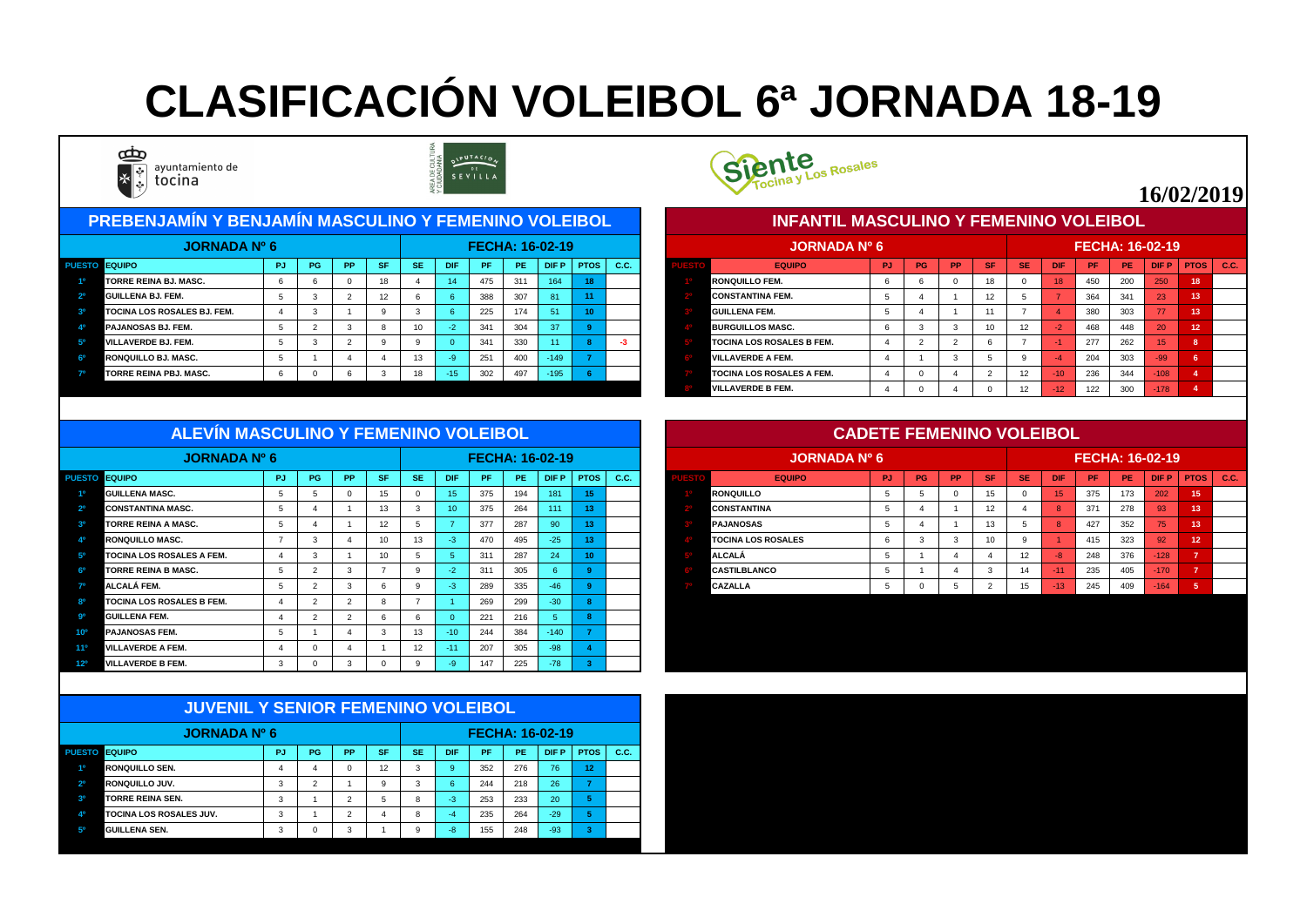#### PUESTO EQUIPO CONTRA PIPUIPG | PPISFISE | DIFIPFIPE | DEPIPTOS | C.C. | CONTROL CONTROL CONTROL EQUIPO CONTROL PUIPG | PPISFISE | DIFIPFIPE | DIFPIPTOS | C.C. **1º TORRE REINA BJ. MASC.** 6 6 0 18 4 14 475 311 164 **18 1º RONQUILLO FEM.** 6 6 0 18 0 18 450 200 250 **18 2º GUILLENA BJ. FEM.** 5 3 2 12 6 6 388 307 81 **11 2º CONSTANTINA FEM.** 5 4 1 12 5 7 364 341 23 **13 3º TOCINA LOS ROSALES BJ. FEM. | 4 | 3 | 1 | 9 | 3 | 6 | 225 | 174 <mark>| 51 | 10 |</mark> | 3<sup>0</sup> GUILLE 4º PAJANOSAS BJ. FEM.** 5 2 3 8 10 -2 341 304 37 **9 4º BURGUILLOS MASC.** 6 3 3 10 12 -2 468 448 20 **12 5º VILLAVERDE BJ. FEM.** 5 3 2 9 9 0 341 330 11 **8 -3 5º TOCINA LOS ROSALES B FEM.** 4 2 2 6 7 -1 277 262 15 **8 6º RONQUILLO BJ. MASC.** 5 1 4 4 13 -9 251 400 -149 **7 6º VILLAVERDE A FEM.** 4 1 3 5 9 -4 204 303 -99 **6 7º TORRE REINA PBJ. MASC.** 6 0 6 3 18 -15 302 497 -195 **6 7º TOCINA LOS ROSALES A FEM.** 4 0 4 2 12 -10 236 344 -108 **4 PREBENJAMÍN Y BENJAMÍN MASCULINO Y FEMENINO VOLEIBOL JORNADA Nº 6 FECHA: 16-02-19 JORNADA Nº 6**





|             | <b>JORNADA Nº 6</b>              |           |           |           |           |           |                |     |           | <b>FECHA: 16-02-19</b> |                |             |
|-------------|----------------------------------|-----------|-----------|-----------|-----------|-----------|----------------|-----|-----------|------------------------|----------------|-------------|
| <b>ESTO</b> | <b>EQUIPO</b>                    | <b>PJ</b> | <b>PG</b> | <b>PP</b> | <b>SF</b> | <b>SE</b> | <b>DIF</b>     | PF  | <b>PE</b> | <b>DIFP</b>            | <b>PTOS</b>    | <b>C.C.</b> |
|             | <b>RONQUILLO FEM.</b>            | 6         | 6         | 0         | 18        | 0         | 18             | 450 | 200       | 250                    | 18             |             |
|             | <b>CONSTANTINA FEM.</b>          | 5         | 4         |           | 12        | 5         | $\overline{7}$ | 364 | 341       | 23                     | 13             |             |
|             | <b>IGUILLENA FEM.</b>            | 5         | 4         |           | 11        | 7         | $\overline{4}$ | 380 | 303       | 77                     | 13             |             |
|             | <b>BURGUILLOS MASC.</b>          | 6         | 3         | 3         | 10        | 12        | $-2$           | 468 | 448       | 20                     | 12             |             |
|             | <b>TOCINA LOS ROSALES B FEM.</b> | 4         | 2         | 2         | 6         | 7         | $-1$           | 277 | 262       | 15                     | 8              |             |
|             | <b>IVILLAVERDE A FEM.</b>        | 4         |           | 3         | 5         | 9         | $-4$           | 204 | 303       | $-99$                  | $6\phantom{1}$ |             |
|             | <b>TOCINA LOS ROSALES A FEM.</b> | 4         | 0         | 4         | 2         | 12        | $-10$          | 236 | 344       | $-108$                 | 4              |             |
|             | <b>IVILLAVERDE B FEM.</b>        | 4         | 0         | 4         | $\Omega$  | 12        | $-12$          | 122 | 300       | $-178$                 | $\overline{4}$ |             |

| ALEVIN MASCULINU T FEMENINU VULEIBUL |     |           |           |           |           |            |           |           |                        |              |     |                           | <b>UADETE FEMENINU VULEIBUL</b> |           |           |             |           |            |                        |     |             |               |  |
|--------------------------------------|-----|-----------|-----------|-----------|-----------|------------|-----------|-----------|------------------------|--------------|-----|---------------------------|---------------------------------|-----------|-----------|-------------|-----------|------------|------------------------|-----|-------------|---------------|--|
| <b>JORNADA Nº 6</b>                  |     |           |           |           |           |            |           |           | <b>FECHA: 16-02-19</b> |              |     | <b>JORNADA Nº 6</b>       |                                 |           |           |             |           |            | <b>FECHA: 16-02-19</b> |     |             |               |  |
| PUESTO EQUIPO                        | PJ. | <b>PG</b> | <b>PP</b> | <b>SF</b> | <b>SE</b> | <b>DIF</b> | <b>PF</b> | <b>PE</b> | DIF P                  | <b>PTOS</b>  | CC. | <b>EQUIPO</b>             | PJ.                             | <b>PG</b> | <b>PP</b> | <b>ASET</b> | <b>SE</b> | <b>DIF</b> | PF.                    | PE  | <b>DIFP</b> | $PTOS$ $C.C.$ |  |
| <b>GUILLENA MASC.</b>                |     |           |           |           |           | 15.        | 375       | 194       | 181                    |              |     | <b>RONQUILLO</b>          |                                 |           |           |             |           |            | 375                    | 173 | 202         | 15            |  |
| <b>CONSTANTINA MASC.</b>             |     |           |           |           |           | 10.        | 375       | 264       | 111                    |              |     | <b>CONSTANTINA</b>        |                                 |           |           |             |           |            | 371                    | 278 | 93          |               |  |
| <b>TORRE REINA A MASC.</b>           |     |           |           |           |           |            | 377       | 287       | 90                     |              |     | <b>PAJANOSAS</b>          |                                 |           |           |             |           |            | 427                    | 352 | 75          |               |  |
| <b>RONQUILLO MASC.</b>               |     |           |           |           | 13        |            | 470       | 495       | $-25/$                 |              |     | <b>TOCINA LOS ROSALES</b> |                                 |           |           |             |           |            | 415                    | 323 | 92          | 12            |  |
| <b>TOCINA LOS ROSALES A FEM.</b>     |     |           |           |           |           |            | 311       | 287       | 24.                    | $40^{\circ}$ |     | <b>ALCALÁ</b>             |                                 |           |           |             |           |            | 248                    | 376 | $-128$      |               |  |
| <b>TORRE REINA B MASC.</b>           |     |           |           |           |           |            | 311       | 305       |                        |              |     | <b>CASTILBLANCO</b>       |                                 |           |           |             |           |            | 235                    | 405 | <b>A170</b> |               |  |
| <b>ALCALÁ FEM.</b>                   |     |           |           |           |           |            | 289       | 335       | $-46/$                 |              |     | <b>CAZALLA</b>            |                                 |           |           |             |           | $-13$      | 245                    | 409 | $-164$      |               |  |
| <b>TOCINA LOS ROSALES B FEM.</b>     |     |           |           |           |           |            | 269       | 299       | $-30$                  |              |     |                           |                                 |           |           |             |           |            |                        |     |             |               |  |

|                 | <b>JORNADA Nº 6</b>              |               |          |           |                  |           |            | <b>FECHA: 16-02-19</b> |     |              |      |      |
|-----------------|----------------------------------|---------------|----------|-----------|------------------|-----------|------------|------------------------|-----|--------------|------|------|
| <b>PUESTO</b>   | <b>EQUIPO</b>                    | <b>PJ</b>     | PG       | <b>PP</b> | <b>SF</b>        | <b>SE</b> | <b>DIF</b> | <b>PF</b>              | PE  | <b>DIF P</b> | PTOS | C.C. |
| 10              | <b>GUILLENA MASC.</b>            | $5^{\circ}$   | . O      |           | 15 <sub>15</sub> | $\Omega$  | 15         | 375                    | 194 | 181          | 15   |      |
| 2 <sup>o</sup>  | <b>CONSTANTINA MASC.</b>         | .5            |          |           | 13 <sup>7</sup>  | -3        | 10         | 375                    | 264 | 111          |      |      |
| 3 <sup>0</sup>  | <b>TORRE REINA A MASC.</b>       | .5            |          |           | 12               |           |            | 377                    | 287 | 90           |      |      |
| 40              | <b>RONQUILLO MASC.</b>           |               |          |           | 10               | 13        | -3.        | 470                    | 495 | $-25$        |      |      |
| 50              | <b>TOCINA LOS ROSALES A FEM.</b> | -4            | - 3      |           | 10 <sup>1</sup>  |           |            | 31 <sup>′</sup>        | 287 | 24           | -10  |      |
| ഔ               | <b>TORRE REINA B MASC.</b>       | $\mathcal{D}$ |          |           |                  |           | -2         | 311                    | 305 | -6           |      |      |
| 70              | ALCALÁ FEM.                      | $\mathbf b$   |          |           |                  |           | -3         | 289                    | 335 | $-46$        |      |      |
| 80              | <b>TOCINA LOS ROSALES B FEM.</b> |               |          |           |                  |           |            | 269                    | 299 | $-30$        |      |      |
| <b>go</b>       | <b>GUILLENA FEM.</b>             |               |          |           |                  | O         |            | 221                    | 216 |              |      |      |
| 10 <sup>o</sup> | <b>PAJANOSAS FEM.</b>            | .5            |          |           |                  | 13        | $-10$      | 244                    | 384 | $-140$       |      |      |
| 11 <sup>o</sup> | <b>VILLAVERDE A FEM.</b>         | 4             | $\Omega$ |           |                  | 12        | $-11$      | 207                    | 305 | $-98$        |      |      |
| 12º             | <b>VILLAVERDE B FEM.</b>         |               |          |           |                  |           |            | 147                    | 225 | $-78$        |      |      |

|                | <b>JUVENIL Y SENIOR FEMENINO VOLEIBOL</b> |           |             |               |           |           |            |           |           |                        |             |      |
|----------------|-------------------------------------------|-----------|-------------|---------------|-----------|-----------|------------|-----------|-----------|------------------------|-------------|------|
|                | <b>JORNADA Nº 6</b>                       |           |             |               |           |           |            |           |           | <b>FECHA: 16-02-19</b> |             |      |
| <b>PUESTO</b>  | <b>EQUIPO</b>                             | <b>PJ</b> | PG          | <b>PP</b>     | <b>SF</b> | <b>SE</b> | <b>DIF</b> | <b>PF</b> | <b>PE</b> | <b>DIFP</b>            | <b>PTOS</b> | C.C. |
| 10             | <b>RONQUILLO SEN.</b>                     | 4         | 4           | 0             | 12        | 3         | 9          | 352       | 276       | 76                     | 12          |      |
| 2 <sup>o</sup> | <b>RONQUILLO JUV.</b>                     | 3         | 2           |               | 9         | 3         | 6          | 244       | 218       | 26                     | 7           |      |
| 3 <sup>o</sup> | <b>TORRE REINA SEN.</b>                   | 3         |             | $\mathcal{P}$ | 5         | 8         | $-3$       | 253       | 233       | 20                     | 5           |      |
| 4 <sup>0</sup> | <b>TOCINA LOS ROSALES JUV.</b>            | 3         |             | 2             | 4         | 8         | $-4$       | 235       | 264       | $-29$                  | 5           |      |
| 5 <sup>o</sup> | <b>GUILLENA SEN.</b>                      | 3         | $\mathbf 0$ | 3             |           | 9         | $-8$       | 155       | 248       | $-93$                  | 3           |      |



# **CLASIFICACIÓN VOLEIBOL 6ª JORNADA 18-19**



ayuntamiento de tocina



## **16/02/2019**

#### **CADETE FEMENINO VOLEIBOL**

#### **INFANTIL MASCULINO Y FEMENINO VOLEIBOL**

#### **ALEVÍN MASCULINO Y FEMENINO VOLEIBOL**